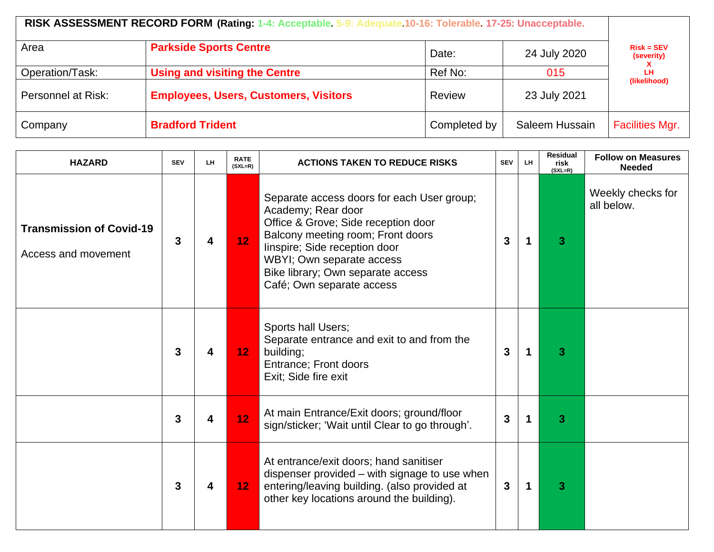| Area               | <b>Parkside Sports Centre</b>                | Date:        | 24 July 2020   | $Risk = SEV$<br>(severity) |  |
|--------------------|----------------------------------------------|--------------|----------------|----------------------------|--|
| Operation/Task:    | <b>Using and visiting the Centre</b>         | Ref No:      | 015            | LН<br>(likelihood)         |  |
| Personnel at Risk: | <b>Employees, Users, Customers, Visitors</b> | Review       | 23 July 2021   |                            |  |
| Company            | <b>Bradford Trident</b>                      | Completed by | Saleem Hussain | <b>Facilities Mgr.</b>     |  |

| <b>HAZARD</b>                                          | <b>SEV</b> | LH | <b>RATE</b><br>$(SXL=R)$ | <b>ACTIONS TAKEN TO REDUCE RISKS</b>                                                                                                                                                                                                                                         | <b>SEV</b>   | LH. | <b>Residual</b><br>risk<br>$(SXL=R)$ | <b>Follow on Measures</b><br><b>Needed</b> |
|--------------------------------------------------------|------------|----|--------------------------|------------------------------------------------------------------------------------------------------------------------------------------------------------------------------------------------------------------------------------------------------------------------------|--------------|-----|--------------------------------------|--------------------------------------------|
| <b>Transmission of Covid-19</b><br>Access and movement | 3          | 4  | 12                       | Separate access doors for each User group;<br>Academy; Rear door<br>Office & Grove; Side reception door<br>Balcony meeting room; Front doors<br>linspire; Side reception door<br>WBYI; Own separate access<br>Bike library; Own separate access<br>Café; Own separate access | 3            |     | 3                                    | Weekly checks for<br>all below.            |
|                                                        | 3          | 4  | 12 <sub>1</sub>          | Sports hall Users;<br>Separate entrance and exit to and from the<br>building;<br>Entrance; Front doors<br>Exit; Side fire exit                                                                                                                                               | 3            | 1   | 3                                    |                                            |
|                                                        | 3          | 4  | 12 <sub>2</sub>          | At main Entrance/Exit doors; ground/floor<br>sign/sticker; 'Wait until Clear to go through'.                                                                                                                                                                                 | 3            |     | 3                                    |                                            |
|                                                        | 3          | 4  | 12 <sub>1</sub>          | At entrance/exit doors; hand sanitiser<br>dispenser provided – with signage to use when<br>entering/leaving building. (also provided at<br>other key locations around the building).                                                                                         | $\mathbf{3}$ | 1   | 3                                    |                                            |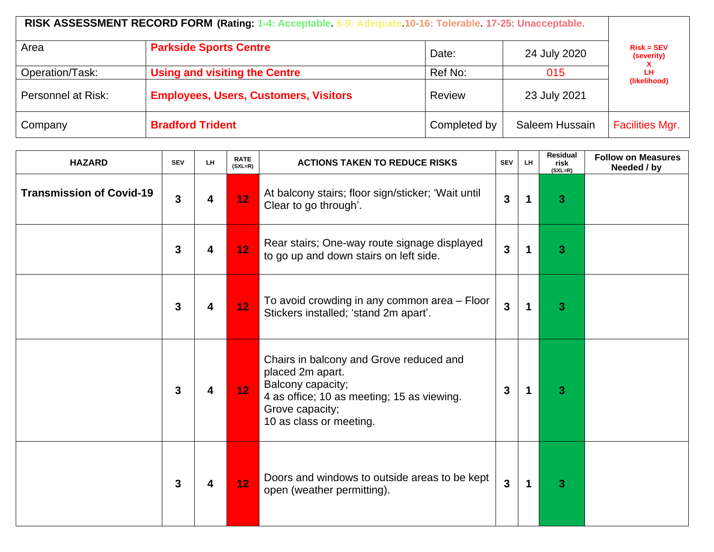|                    | RISK ASSESSMENT RECORD FORM (Rating: 1-4: Acceptable. 5-9: Adequate. 10-16: Tolerable. 17-25: Unacceptable. |              |                |                            |  |
|--------------------|-------------------------------------------------------------------------------------------------------------|--------------|----------------|----------------------------|--|
| Area               | <b>Parkside Sports Centre</b>                                                                               | Date:        | 24 July 2020   | $Risk = SEV$<br>(severity) |  |
| Operation/Task:    | <b>Using and visiting the Centre</b>                                                                        | Ref No:      | 015            | LH.<br>(likelihood)        |  |
| Personnel at Risk: | <b>Employees, Users, Customers, Visitors</b>                                                                | Review       | 23 July 2021   |                            |  |
| Company            | <b>Bradford Trident</b>                                                                                     | Completed by | Saleem Hussain | <b>Facilities Mgr.</b>     |  |

| <b>HAZARD</b>                   | <b>SEV</b>   | LH | <b>RATE</b><br>$(SXL=R)$ | <b>ACTIONS TAKEN TO REDUCE RISKS</b>                                                                                                                                         | <b>SEV</b>     | LH.         | <b>Residual</b><br>risk<br>$(SXL=R)$ | <b>Follow on Measures</b><br>Needed / by |
|---------------------------------|--------------|----|--------------------------|------------------------------------------------------------------------------------------------------------------------------------------------------------------------------|----------------|-------------|--------------------------------------|------------------------------------------|
| <b>Transmission of Covid-19</b> | $\mathbf{3}$ | 4  | 12                       | At balcony stairs; floor sign/sticker; 'Wait until<br>Clear to go through'.                                                                                                  | $\overline{3}$ | $\mathbf 1$ | 3                                    |                                          |
|                                 | 3            | 4  | 12                       | Rear stairs; One-way route signage displayed<br>to go up and down stairs on left side.                                                                                       | $\mathbf{3}$   | $\mathbf 1$ | 3                                    |                                          |
|                                 | 3            | 4  | 12                       | To avoid crowding in any common area - Floor<br>Stickers installed; 'stand 2m apart'.                                                                                        | $\overline{3}$ | 1           | 3                                    |                                          |
|                                 | 3            | 4  | 12 <sub>1</sub>          | Chairs in balcony and Grove reduced and<br>placed 2m apart.<br>Balcony capacity;<br>4 as office; 10 as meeting; 15 as viewing.<br>Grove capacity;<br>10 as class or meeting. | $\mathbf{3}$   | -1          | 3                                    |                                          |
|                                 | $\mathbf{3}$ | 4  | 12 <sub>1</sub>          | Doors and windows to outside areas to be kept<br>open (weather permitting).                                                                                                  | $\overline{3}$ | $\mathbf 1$ | 3                                    |                                          |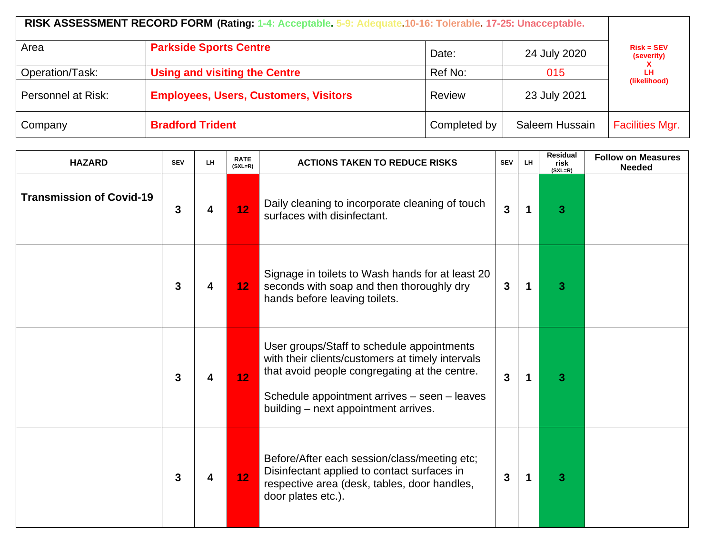| Area               | <b>Parkside Sports Centre</b>                | Date:        | 24 July 2020   | $Risk = SEV$<br>(severity) |  |
|--------------------|----------------------------------------------|--------------|----------------|----------------------------|--|
| Operation/Task:    | <b>Using and visiting the Centre</b>         | Ref No:      | 015            | LН<br>(likelihood)         |  |
| Personnel at Risk: | <b>Employees, Users, Customers, Visitors</b> | Review       | 23 July 2021   |                            |  |
| Company            | <b>Bradford Trident</b>                      | Completed by | Saleem Hussain | <b>Facilities Mgr.</b>     |  |

| <b>HAZARD</b>                   | <b>SEV</b>                                                                                     | LH | <b>RATE</b><br>$(SXL=R)$ | <b>ACTIONS TAKEN TO REDUCE RISKS</b>                                                                                                                                                                                                    | <b>SEV</b>              | LH.         | <b>Residual</b><br>risk<br>$(SXL=R)$ | <b>Follow on Measures</b><br><b>Needed</b> |
|---------------------------------|------------------------------------------------------------------------------------------------|----|--------------------------|-----------------------------------------------------------------------------------------------------------------------------------------------------------------------------------------------------------------------------------------|-------------------------|-------------|--------------------------------------|--------------------------------------------|
| <b>Transmission of Covid-19</b> | Daily cleaning to incorporate cleaning of touch<br>12<br>3<br>4<br>surfaces with disinfectant. |    | $\mathbf{3}$             | $\mathbf 1$                                                                                                                                                                                                                             | $\overline{\mathbf{3}}$ |             |                                      |                                            |
|                                 | 3                                                                                              | 4  | 12 <sub>1</sub>          | Signage in toilets to Wash hands for at least 20<br>seconds with soap and then thoroughly dry<br>hands before leaving toilets.                                                                                                          | $\mathbf{3}$            | $\mathbf 1$ | 3                                    |                                            |
|                                 | 3                                                                                              | 4  | 12 <sub>1</sub>          | User groups/Staff to schedule appointments<br>with their clients/customers at timely intervals<br>that avoid people congregating at the centre.<br>Schedule appointment arrives - seen - leaves<br>building - next appointment arrives. | $\overline{3}$          | 1           | 3                                    |                                            |
|                                 | 3                                                                                              | 4  | 12 <sub>2</sub>          | Before/After each session/class/meeting etc;<br>Disinfectant applied to contact surfaces in<br>respective area (desk, tables, door handles,<br>door plates etc.).                                                                       | $\mathbf{3}$            | 1           | 3                                    |                                            |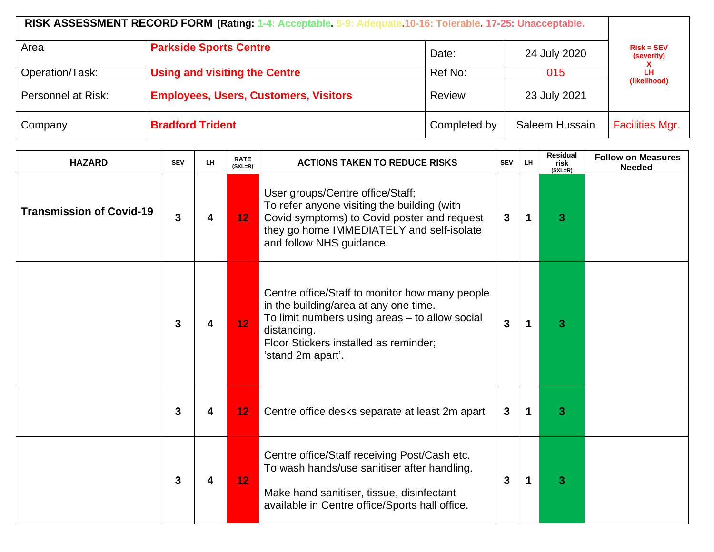|                    | RISK ASSESSMENT RECORD FORM (Rating: 1-4: Acceptable. 5-9: Adequate. 10-16: Tolerable. 17-25: Unacceptable. |              |                |                            |  |  |  |  |  |
|--------------------|-------------------------------------------------------------------------------------------------------------|--------------|----------------|----------------------------|--|--|--|--|--|
| Area               | <b>Parkside Sports Centre</b>                                                                               | Date:        | 24 July 2020   | $Risk = SEV$<br>(severity) |  |  |  |  |  |
| Operation/Task:    | <b>Using and visiting the Centre</b>                                                                        | Ref No:      | 015            | LН<br>(likelihood)         |  |  |  |  |  |
| Personnel at Risk: | <b>Employees, Users, Customers, Visitors</b>                                                                | Review       | 23 July 2021   |                            |  |  |  |  |  |
| Company            | <b>Bradford Trident</b>                                                                                     | Completed by | Saleem Hussain | <b>Facilities Mgr.</b>     |  |  |  |  |  |

| <b>HAZARD</b>                   | <b>SEV</b>                                                                                                                                                                                                                           | LH | <b>RATE</b><br>$(SXL=R)$ | <b>ACTIONS TAKEN TO REDUCE RISKS</b>                                                                                                                                                                                   | <b>SEV</b>     | LH | <b>Residual</b><br>risk<br>$(SXL=R)$ | <b>Follow on Measures</b><br><b>Needed</b> |
|---------------------------------|--------------------------------------------------------------------------------------------------------------------------------------------------------------------------------------------------------------------------------------|----|--------------------------|------------------------------------------------------------------------------------------------------------------------------------------------------------------------------------------------------------------------|----------------|----|--------------------------------------|--------------------------------------------|
| <b>Transmission of Covid-19</b> | User groups/Centre office/Staff;<br>To refer anyone visiting the building (with<br>Covid symptoms) to Covid poster and request<br>3<br>12 <sub>1</sub><br>4<br>they go home IMMEDIATELY and self-isolate<br>and follow NHS guidance. |    | $\mathbf{3}$             | 1                                                                                                                                                                                                                      | 3              |    |                                      |                                            |
|                                 | 3                                                                                                                                                                                                                                    |    | 12 <sub>1</sub>          | Centre office/Staff to monitor how many people<br>in the building/area at any one time.<br>To limit numbers using areas - to allow social<br>distancing.<br>Floor Stickers installed as reminder;<br>'stand 2m apart'. | $\overline{3}$ | 1  | 3                                    |                                            |
|                                 | 3                                                                                                                                                                                                                                    | 4  | 12                       | Centre office desks separate at least 2m apart                                                                                                                                                                         | $\mathbf{3}$   | 1  | 3                                    |                                            |
|                                 | 3                                                                                                                                                                                                                                    | 4  | 12                       | Centre office/Staff receiving Post/Cash etc.<br>To wash hands/use sanitiser after handling.<br>Make hand sanitiser, tissue, disinfectant<br>available in Centre office/Sports hall office.                             | 3              |    | 3                                    |                                            |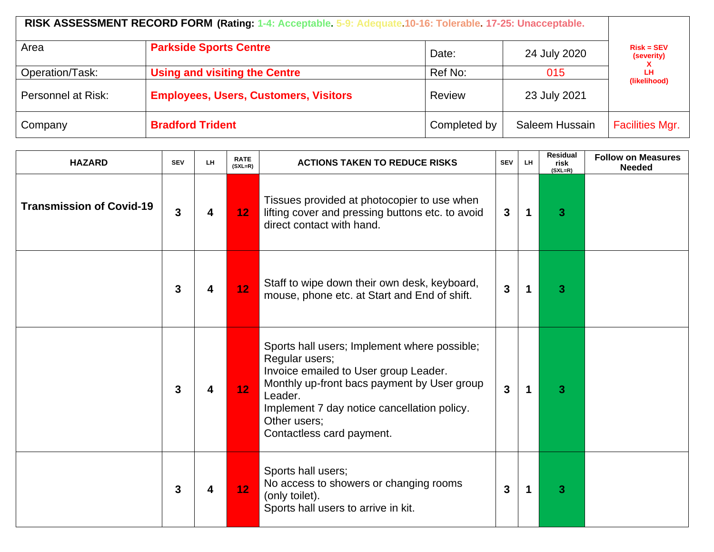|                    | RISK ASSESSMENT RECORD FORM (Rating: 1-4: Acceptable. 5-9: Adequate.10-16: Tolerable. 17-25: Unacceptable. |              |                |                                                  |  |
|--------------------|------------------------------------------------------------------------------------------------------------|--------------|----------------|--------------------------------------------------|--|
| Area               | <b>Parkside Sports Centre</b>                                                                              | Date:        | 24 July 2020   | $Risk = SEV$<br>(severity)<br>LН<br>(likelihood) |  |
| Operation/Task:    | <b>Using and visiting the Centre</b>                                                                       | Ref No:      | 015            |                                                  |  |
| Personnel at Risk: | <b>Employees, Users, Customers, Visitors</b>                                                               | Review       | 23 July 2021   |                                                  |  |
| Company            | <b>Bradford Trident</b>                                                                                    | Completed by | Saleem Hussain | <b>Facilities Mgr.</b>                           |  |

| <b>HAZARD</b>                   | <b>SEV</b> | LH | <b>RATE</b><br>$(SXL=R)$ | <b>ACTIONS TAKEN TO REDUCE RISKS</b>                                                                                                                                                                                                                          | <b>SEV</b>   | LH. | <b>Residual</b><br>risk<br>$(SXL=R)$ | <b>Follow on Measures</b><br><b>Needed</b> |
|---------------------------------|------------|----|--------------------------|---------------------------------------------------------------------------------------------------------------------------------------------------------------------------------------------------------------------------------------------------------------|--------------|-----|--------------------------------------|--------------------------------------------|
| <b>Transmission of Covid-19</b> | 3          | 4  | 12 <sub>1</sub>          | Tissues provided at photocopier to use when<br>lifting cover and pressing buttons etc. to avoid<br>direct contact with hand.                                                                                                                                  | 3            | 1   | 3                                    |                                            |
|                                 | 3          | 4  | 12 <sub>1</sub>          | Staff to wipe down their own desk, keyboard,<br>mouse, phone etc. at Start and End of shift.                                                                                                                                                                  | $\mathbf{3}$ | 1   | 3                                    |                                            |
|                                 | 3          | 4  | 12 <sub>1</sub>          | Sports hall users; Implement where possible;<br>Regular users;<br>Invoice emailed to User group Leader.<br>Monthly up-front bacs payment by User group<br>Leader.<br>Implement 7 day notice cancellation policy.<br>Other users;<br>Contactless card payment. | $\mathbf{3}$ | 1   | 3                                    |                                            |
|                                 | 3          | 4  | 12 <sub>1</sub>          | Sports hall users;<br>No access to showers or changing rooms<br>(only toilet).<br>Sports hall users to arrive in kit.                                                                                                                                         | 3            | 1   | 3                                    |                                            |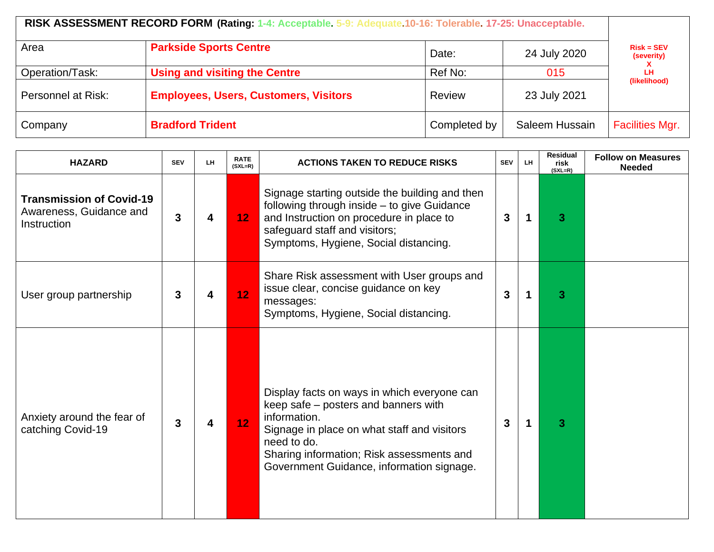|                    | RISK ASSESSMENT RECORD FORM (Rating: 1-4: Acceptable. 5-9: Adequate. 10-16: Tolerable. 17-25: Unacceptable. |              |                |                            |  |  |  |  |  |  |
|--------------------|-------------------------------------------------------------------------------------------------------------|--------------|----------------|----------------------------|--|--|--|--|--|--|
| Area               | <b>Parkside Sports Centre</b>                                                                               | Date:        | 24 July 2020   | $Risk = SEV$<br>(severity) |  |  |  |  |  |  |
| Operation/Task:    | <b>Using and visiting the Centre</b>                                                                        | Ref No:      | 015            | LН<br>(likelihood)         |  |  |  |  |  |  |
| Personnel at Risk: | <b>Employees, Users, Customers, Visitors</b>                                                                | Review       | 23 July 2021   |                            |  |  |  |  |  |  |
| Company            | <b>Bradford Trident</b>                                                                                     | Completed by | Saleem Hussain | <b>Facilities Mgr.</b>     |  |  |  |  |  |  |

| <b>HAZARD</b>                                                             | <b>SEV</b> | LH. | <b>RATE</b><br>$(SXL=R)$ | <b>ACTIONS TAKEN TO REDUCE RISKS</b>                                                                                                                                                                                                                        | <b>SEV</b>   | LH. | Residual<br>risk<br>$(SXL=R)$ | <b>Follow on Measures</b><br><b>Needed</b> |
|---------------------------------------------------------------------------|------------|-----|--------------------------|-------------------------------------------------------------------------------------------------------------------------------------------------------------------------------------------------------------------------------------------------------------|--------------|-----|-------------------------------|--------------------------------------------|
| <b>Transmission of Covid-19</b><br>Awareness, Guidance and<br>Instruction | 3          |     | 12 <sub>1</sub>          | Signage starting outside the building and then<br>following through inside - to give Guidance<br>and Instruction on procedure in place to<br>safeguard staff and visitors;<br>Symptoms, Hygiene, Social distancing.                                         | $\mathbf{3}$ |     | 3                             |                                            |
| User group partnership                                                    | 3          |     | 12 <sub>2</sub>          | Share Risk assessment with User groups and<br>issue clear, concise guidance on key<br>messages:<br>Symptoms, Hygiene, Social distancing.                                                                                                                    | $\mathbf{3}$ |     | 3                             |                                            |
| Anxiety around the fear of<br>catching Covid-19                           | 3          |     | 12 <sub>1</sub>          | Display facts on ways in which everyone can<br>keep safe – posters and banners with<br>information.<br>Signage in place on what staff and visitors<br>need to do.<br>Sharing information; Risk assessments and<br>Government Guidance, information signage. | 3            |     | 3                             |                                            |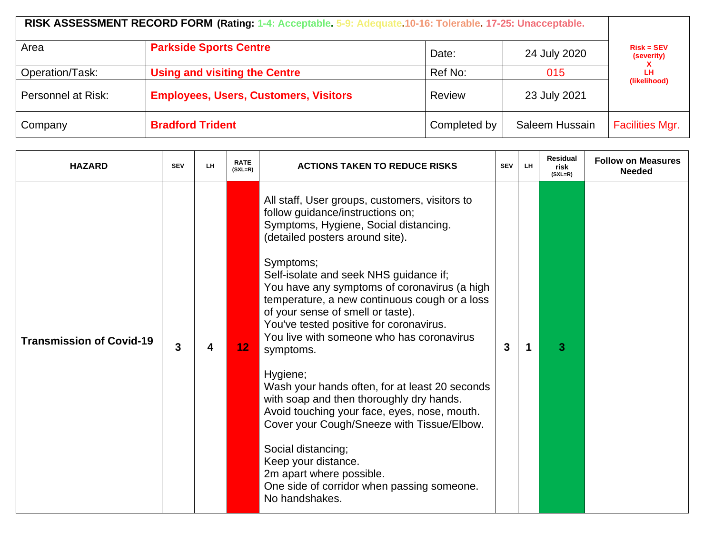| Area               | <b>Parkside Sports Centre</b>                | Date:        | $Risk = SEV$        |                        |  |
|--------------------|----------------------------------------------|--------------|---------------------|------------------------|--|
| Operation/Task:    | <b>Using and visiting the Centre</b>         | Ref No:      | 24 July 2020<br>015 | (severity)<br>LН       |  |
| Personnel at Risk: | <b>Employees, Users, Customers, Visitors</b> | Review       | 23 July 2021        | (likelihood)           |  |
| Company            | <b>Bradford Trident</b>                      | Completed by | Saleem Hussain      | <b>Facilities Mgr.</b> |  |

| <b>HAZARD</b>                   | <b>SEV</b> | LH. | <b>RATE</b><br>$(SXL=R)$ | <b>ACTIONS TAKEN TO REDUCE RISKS</b>                                                                                                                                                                                                                                                                                                                                                                                                                                                                                                                                                                                                                                                                                                                                                                              | <b>SEV</b> | LH. | <b>Residual</b><br>risk<br>$(SXL=R)$ | <b>Follow on Measures</b><br><b>Needed</b> |
|---------------------------------|------------|-----|--------------------------|-------------------------------------------------------------------------------------------------------------------------------------------------------------------------------------------------------------------------------------------------------------------------------------------------------------------------------------------------------------------------------------------------------------------------------------------------------------------------------------------------------------------------------------------------------------------------------------------------------------------------------------------------------------------------------------------------------------------------------------------------------------------------------------------------------------------|------------|-----|--------------------------------------|--------------------------------------------|
| <b>Transmission of Covid-19</b> | 3          | 4   | 12 <sub>2</sub>          | All staff, User groups, customers, visitors to<br>follow guidance/instructions on;<br>Symptoms, Hygiene, Social distancing.<br>(detailed posters around site).<br>Symptoms;<br>Self-isolate and seek NHS guidance if;<br>You have any symptoms of coronavirus (a high<br>temperature, a new continuous cough or a loss<br>of your sense of smell or taste).<br>You've tested positive for coronavirus.<br>You live with someone who has coronavirus<br>symptoms.<br>Hygiene;<br>Wash your hands often, for at least 20 seconds<br>with soap and then thoroughly dry hands.<br>Avoid touching your face, eyes, nose, mouth.<br>Cover your Cough/Sneeze with Tissue/Elbow.<br>Social distancing;<br>Keep your distance.<br>2m apart where possible.<br>One side of corridor when passing someone.<br>No handshakes. | 3          |     | 3                                    |                                            |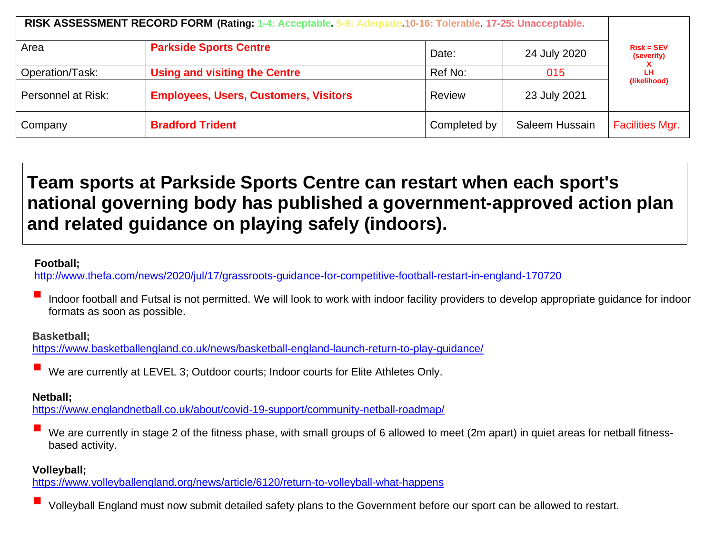| RISK ASSESSMENT RECORD FORM (Rating: 1-4: Acceptable. 5-9: Adequate. 10-16: Tolerable. 17-25: Unacceptable. |                                                                                      |               |                |                                                  |
|-------------------------------------------------------------------------------------------------------------|--------------------------------------------------------------------------------------|---------------|----------------|--------------------------------------------------|
| Area                                                                                                        | <b>Parkside Sports Centre</b>                                                        | Date:         | 24 July 2020   | $Risk = SEV$<br>(severity)<br>LН<br>(likelihood) |
| Operation/Task:                                                                                             | <b>Using and visiting the Centre</b><br><b>Employees, Users, Customers, Visitors</b> | Ref No:       | 015            |                                                  |
| Personnel at Risk:                                                                                          |                                                                                      | <b>Review</b> | 23 July 2021   |                                                  |
| Company                                                                                                     | <b>Bradford Trident</b>                                                              | Completed by  | Saleem Hussain | <b>Facilities Mgr.</b>                           |

# **Team sports at Parkside Sports Centre can restart when each sport's national governing body has published a government-approved action plan and related guidance on playing safely (indoors).**

### **Football;**

<http://www.thefa.com/news/2020/jul/17/grassroots-guidance-for-competitive-football-restart-in-england-170720>

Indoor football and Futsal is not permitted. We will look to work with indoor facility providers to develop appropriate guidance for indoor formats as soon as possible.

#### **Basketball;**

<https://www.basketballengland.co.uk/news/basketball-england-launch-return-to-play-guidance/>

We are currently at LEVEL 3; Outdoor courts; Indoor courts for Elite Athletes Only.

## **Netball;**

<https://www.englandnetball.co.uk/about/covid-19-support/community-netball-roadmap/>

We are currently in stage 2 of the fitness phase, with small groups of 6 allowed to meet (2m apart) in quiet areas for netball fitnessbased activity.

### **Volleyball;**

<https://www.volleyballengland.org/news/article/6120/return-to-volleyball-what-happens>

Volleyball England must now submit detailed safety plans to the Government before our sport can be allowed to restart.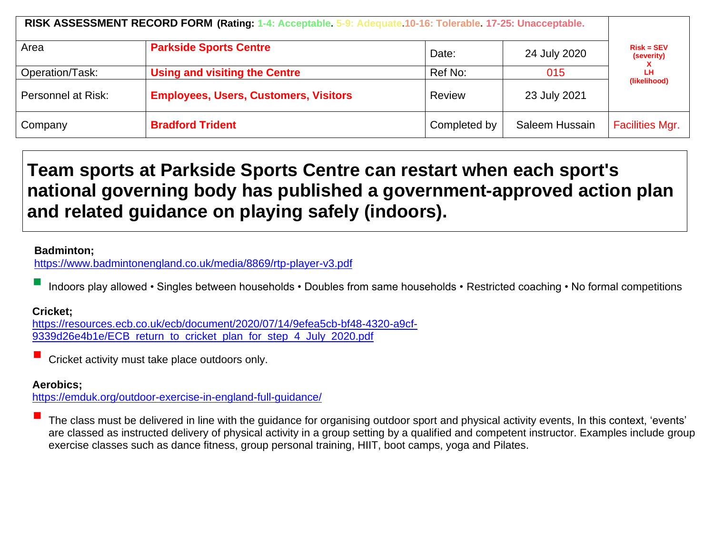| RISK ASSESSMENT RECORD FORM (Rating: 1-4: Acceptable. 5-9: Adequate. 10-16: Tolerable. 17-25: Unacceptable. |                                                                                      |               |                |                                                  |
|-------------------------------------------------------------------------------------------------------------|--------------------------------------------------------------------------------------|---------------|----------------|--------------------------------------------------|
| Area                                                                                                        | <b>Parkside Sports Centre</b>                                                        | Date:         | 24 July 2020   | $Risk = SEV$<br>(severity)<br>LН<br>(likelihood) |
| Operation/Task:                                                                                             | <b>Using and visiting the Centre</b><br><b>Employees, Users, Customers, Visitors</b> | Ref No:       | 015            |                                                  |
| Personnel at Risk:                                                                                          |                                                                                      | <b>Review</b> | 23 July 2021   |                                                  |
| Company                                                                                                     | <b>Bradford Trident</b>                                                              | Completed by  | Saleem Hussain | <b>Facilities Mgr.</b>                           |

# **Team sports at Parkside Sports Centre can restart when each sport's national governing body has published a government-approved action plan and related guidance on playing safely (indoors).**

### **Badminton;**

<https://www.badmintonengland.co.uk/media/8869/rtp-player-v3.pdf>

Indoors play allowed • Singles between households • Doubles from same households • Restricted coaching • No formal competitions

### **Cricket;**

[https://resources.ecb.co.uk/ecb/document/2020/07/14/9efea5cb-bf48-4320-a9cf-](https://resources.ecb.co.uk/ecb/document/2020/07/14/9efea5cb-bf48-4320-a9cf-9339d26e4b1e/ECB_return_to_cricket_plan_for_step_4_July_2020.pdf)[9339d26e4b1e/ECB\\_return\\_to\\_cricket\\_plan\\_for\\_step\\_4\\_July\\_2020.pdf](https://resources.ecb.co.uk/ecb/document/2020/07/14/9efea5cb-bf48-4320-a9cf-9339d26e4b1e/ECB_return_to_cricket_plan_for_step_4_July_2020.pdf)

Cricket activity must take place outdoors only.

### **Aerobics;**

<https://emduk.org/outdoor-exercise-in-england-full-guidance/>

The class must be delivered in line with the quidance for organising outdoor sport and physical activity events, In this context, 'events' are classed as instructed delivery of physical activity in a group setting by a qualified and competent instructor. Examples include group exercise classes such as dance fitness, group personal training, HIIT, boot camps, yoga and Pilates.